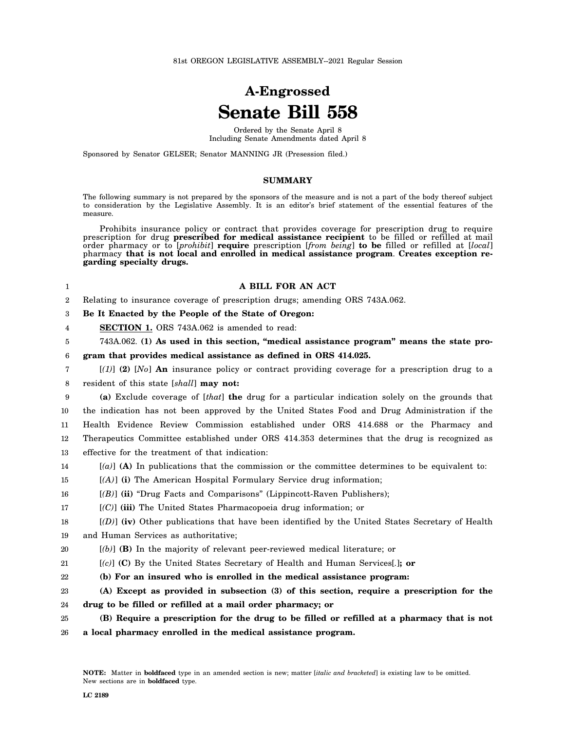## **A-Engrossed Senate Bill 558**

Ordered by the Senate April 8 Including Senate Amendments dated April 8

Sponsored by Senator GELSER; Senator MANNING JR (Presession filed.)

## **SUMMARY**

The following summary is not prepared by the sponsors of the measure and is not a part of the body thereof subject to consideration by the Legislative Assembly. It is an editor's brief statement of the essential features of the measure.

Prohibits insurance policy or contract that provides coverage for prescription drug to require prescription for drug **prescribed for medical assistance recipient** to be filled or refilled at mail order pharmacy or to [*prohibit*] **require** prescription [*from being*] **to be** filled or refilled at [*local*] pharmacy **that is not local and enrolled in medical assistance program**. **Creates exception regarding specialty drugs.**

## **A BILL FOR AN ACT**

2 Relating to insurance coverage of prescription drugs; amending ORS 743A.062.

3 **Be It Enacted by the People of the State of Oregon:**

4 **SECTION 1.** ORS 743A.062 is amended to read:

5 743A.062. **(1) As used in this section, "medical assistance program" means the state pro-**

6 **gram that provides medical assistance as defined in ORS 414.025.**

7 8 [*(1)*] **(2)** [*No*] **An** insurance policy or contract providing coverage for a prescription drug to a resident of this state [*shall*] **may not:**

9 10 11 12 **(a)** Exclude coverage of [*that*] **the** drug for a particular indication solely on the grounds that the indication has not been approved by the United States Food and Drug Administration if the Health Evidence Review Commission established under ORS 414.688 or the Pharmacy and Therapeutics Committee established under ORS 414.353 determines that the drug is recognized as

13 effective for the treatment of that indication:

14 [*(a)*] **(A)** In publications that the commission or the committee determines to be equivalent to:

15 [*(A)*] **(i)** The American Hospital Formulary Service drug information;

- 16 [*(B)*] **(ii)** "Drug Facts and Comparisons" (Lippincott-Raven Publishers);
- 17 [*(C)*] **(iii)** The United States Pharmacopoeia drug information; or

| 18 | $[(D)]$ (iv) Other publications that have been identified by the United States Secretary of Health |
|----|----------------------------------------------------------------------------------------------------|
|    | 19 and Human Services as authoritative:                                                            |

- 20 [*(b)*] **(B)** In the majority of relevant peer-reviewed medical literature; or
- 21 [*(c)*] **(C)** By the United States Secretary of Health and Human Services[*.*]**; or**
- 22 **(b) For an insured who is enrolled in the medical assistance program:**
- 23 24 **(A) Except as provided in subsection (3) of this section, require a prescription for the drug to be filled or refilled at a mail order pharmacy; or**

25 **(B) Require a prescription for the drug to be filled or refilled at a pharmacy that is not**

26 **a local pharmacy enrolled in the medical assistance program.**

1